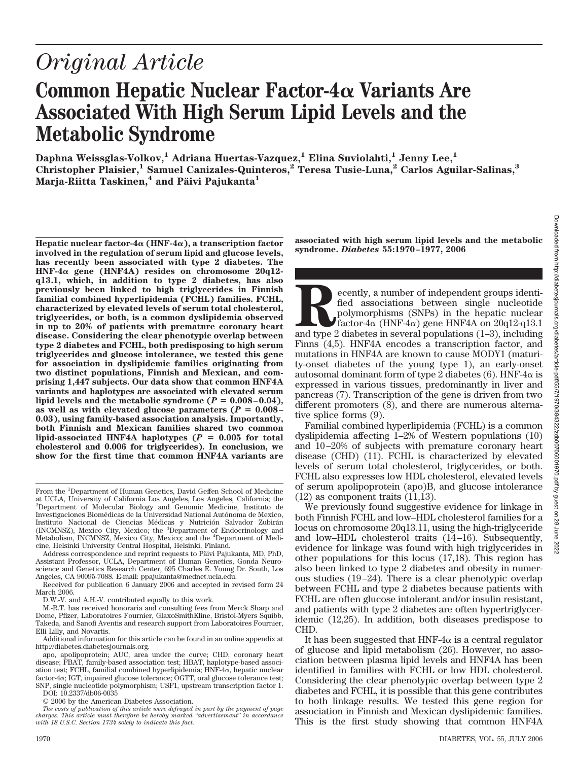# *Original Article*

# **Common Hepatic Nuclear Factor-4 Variants Are Associated With High Serum Lipid Levels and the Metabolic Syndrome**

**Daphna Weissglas-Volkov,1 Adriana Huertas-Vazquez,1 Elina Suviolahti,1 Jenny Lee,1 Christopher Plaisier,1 Samuel Canizales-Quinteros,2 Teresa Tusie-Luna,2 Carlos Aguilar-Salinas,3 Marja-Riitta Taskinen,<sup>4</sup> and Päivi Pajukanta<sup>1</sup>** 

**Hepatic nuclear factor-4** $\alpha$  **(HNF-4** $\alpha$ **), a transcription factor involved in the regulation of serum lipid and glucose levels, has recently been associated with type 2 diabetes. The HNF-4 gene (HNF4A) resides on chromosome 20q12 q13.1, which, in addition to type 2 diabetes, has also previously been linked to high triglycerides in Finnish familial combined hyperlipidemia (FCHL) families. FCHL, characterized by elevated levels of serum total cholesterol, triglycerides, or both, is a common dyslipidemia observed in up to 20% of patients with premature coronary heart disease. Considering the clear phenotypic overlap between type 2 diabetes and FCHL, both predisposing to high serum triglycerides and glucose intolerance, we tested this gene for association in dyslipidemic families originating from two distinct populations, Finnish and Mexican, and comprising 1,447 subjects. Our data show that common HNF4A variants and haplotypes are associated with elevated serum** lipid levels and the metabolic syndrome  $(P = 0.008 - 0.04)$ , as well as with elevated glucose parameters  $(P = 0.008 -$ **0.03), using family-based association analysis. Importantly, both Finnish and Mexican families shared two common**  $lipid\text{-}associated HNF4A haplotypes (P = 0.005 for total$ **cholesterol and 0.006 for triglycerides). In conclusion, we show for the first time that common HNF4A variants are**

**associated with high serum lipid levels and the metabolic syndrome.** *Diabetes* **55:1970–1977, 2006**

**Recently, a number of independent groups identified associations between single nucleotide polymorphisms (SNPs) in the hepatic nuclear factor-4** $\alpha$  **(HNF-4** $\alpha$ **) gene HNF4A on 20q12-q13.1 and type 2 diabetes in several popu** fied associations between single nucleotide polymorphisms (SNPs) in the hepatic nuclear factor-4 $\alpha$  (HNF-4 $\alpha$ ) gene HNF4A on 20q12-q13.1 Finns (4,5). HNF4A encodes a transcription factor, and mutations in HNF4A are known to cause MODY1 (maturity-onset diabetes of the young type 1), an early-onset autosomal dominant form of type 2 diabetes (6). HNF-4 $\alpha$  is expressed in various tissues, predominantly in liver and pancreas (7). Transcription of the gene is driven from two different promoters (8), and there are numerous alternative splice forms (9).

Familial combined hyperlipidemia (FCHL) is a common dyslipidemia affecting 1–2% of Western populations (10) and 10 –20% of subjects with premature coronary heart disease (CHD) (11). FCHL is characterized by elevated levels of serum total cholesterol, triglycerides, or both. FCHL also expresses low HDL cholesterol, elevated levels of serum apolipoprotein (apo)B, and glucose intolerance (12) as component traits (11,13).

We previously found suggestive evidence for linkage in both Finnish FCHL and low–HDL cholesterol families for a locus on chromosome 20q13.11, using the high-triglyceride and low–HDL cholesterol traits (14 –16). Subsequently, evidence for linkage was found with high triglycerides in other populations for this locus (17,18). This region has also been linked to type 2 diabetes and obesity in numerous studies (19 –24). There is a clear phenotypic overlap between FCHL and type 2 diabetes because patients with FCHL are often glucose intolerant and/or insulin resistant, and patients with type 2 diabetes are often hypertriglyceridemic (12,25). In addition, both diseases predispose to CHD.

It has been suggested that  $HNF-4\alpha$  is a central regulator of glucose and lipid metabolism (26). However, no association between plasma lipid levels and HNF4A has been identified in families with FCHL or low HDL cholesterol. Considering the clear phenotypic overlap between type 2 diabetes and FCHL, it is possible that this gene contributes to both linkage results. We tested this gene region for association in Finnish and Mexican dyslipidemic families. This is the first study showing that common HNF4A

From the <sup>1</sup>Department of Human Genetics, David Geffen School of Medicine at UCLA, University of California Los Angeles, Los Angeles, California; the 2 Department of Molecular Biology and Genomic Medicine, Instituto de Investigaciones Biomédicas de la Universidad National Autónoma de Mexico, Instituto Nacional de Ciencias Médicas y Nutrición Salvador Zubirán (INCMNSZ), Mexico City, Mexico; the <sup>3</sup> Department of Endocrinology and Metabolism, INCMNSZ, Mexico City, Mexico; and the <sup>4</sup> Department of Medicine, Helsinki University Central Hospital, Helsinki, Finland.

Address correspondence and reprint requests to Päivi Pajukanta, MD, PhD, Assistant Professor, UCLA, Department of Human Genetics, Gonda Neuroscience and Genetics Research Center, 695 Charles E. Young Dr. South, Los Angeles, CA 90095-7088. E-mail: ppajukanta@mednet.ucla.edu.

Received for publication 6 January 2006 and accepted in revised form 24 March 2006.

D.W.-V. and A.H.-V. contributed equally to this work.

M.-R.T. has received honoraria and consulting fees from Merck Sharp and Dome, Pfizer, Laboratoires Fournier, GlaxoSmithKline, Bristol-Myers Squibb, Takeda, and Sanofi Aventis and research support from Laboratoires Fournier, Elli Lilly, and Novartis.

Additional information for this article can be found in an online appendix at http://diabetes.diabetesjournals.org.

apo, apolipoprotein; AUC, area under the curve; CHD, coronary heart disease; FBAT, family-based association test; HBAT, haplotype-based association test; FCHL, familial combined hyperlipidemia;  $HNF-4\alpha$ , hepatic nuclear factor-4 $\alpha$ ; IGT, impaired glucose tolerance; OGTT, oral glucose tolerance test; SNP, single nucleotide polymorphism; USF1, upstream transcription factor 1.

DOI: 10.2337/db06-0035

<sup>© 2006</sup> by the American Diabetes Association.

*The costs of publication of this article were defrayed in part by the payment of page charges. This article must therefore be hereby marked "advertisement" in accordance with 18 U.S.C. Section 1734 solely to indicate this fact.*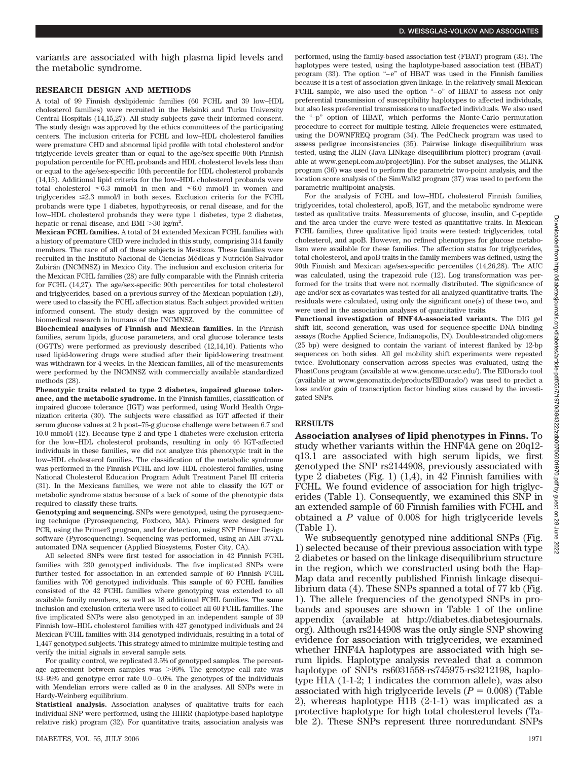variants are associated with high plasma lipid levels and the metabolic syndrome.

#### **RESEARCH DESIGN AND METHODS**

A total of 99 Finnish dyslipidemic families (60 FCHL and 39 low–HDL cholesterol families) were recruited in the Helsinki and Turku University Central Hospitals (14,15,27). All study subjects gave their informed consent. The study design was approved by the ethics committees of the participating centers. The inclusion criteria for FCHL and low–HDL cholesterol families were premature CHD and abnormal lipid profile with total cholesterol and/or triglyceride levels greater than or equal to the age/sex-specific 90th Finnish population percentile for FCHL probands and HDL cholesterol levels less than or equal to the age/sex-specific 10th percentile for HDL cholesterol probands (14,15). Additional lipid criteria for the low–HDL cholesterol probands were total cholesterol  $\leq 6.3$  mmol/l in men and  $\leq 6.0$  mmol/l in women and triglycerides  $\leq 2.3$  mmol/l in both sexes. Exclusion criteria for the FCHL probands were type 1 diabetes, hypothyreosis, or renal disease, and for the low–HDL cholesterol probands they were type 1 diabetes, type 2 diabetes, hepatic or renal disease, and BMI  $>30$  kg/m<sup>2</sup>.

**Mexican FCHL families.** A total of 24 extended Mexican FCHL families with a history of premature CHD were included in this study, comprising 314 family members. The race of all of these subjects is Mestizos. These families were recruited in the Instituto Nacional de Ciencias Médicas y Nutrición Salvador Zubira´n (INCMNSZ) in Mexico City. The inclusion and exclusion criteria for the Mexican FCHL families (28) are fully comparable with the Finnish criteria for FCHL (14,27). The age/sex-specific 90th percentiles for total cholesterol and triglycerides, based on a previous survey of the Mexican population (29), were used to classify the FCHL affection status. Each subject provided written informed consent. The study design was approved by the committee of biomedical research in humans of the INCMNSZ.

**Biochemical analyses of Finnish and Mexican families.** In the Finnish families, serum lipids, glucose parameters, and oral glucose tolerance tests (OGTTs) were performed as previously described (12,14,16). Patients who used lipid-lowering drugs were studied after their lipid-lowering treatment was withdrawn for 4 weeks. In the Mexican families, all of the measurements were performed by the INCMNSZ with commercially available standardized methods (28).

**Phenotypic traits related to type 2 diabetes, impaired glucose tolerance, and the metabolic syndrome.** In the Finnish families, classification of impaired glucose tolerance (IGT) was performed, using World Health Organization criteria (30). The subjects were classified as IGT affected if their serum glucose values at 2 h post–75-g glucose challenge were between 6.7 and 10.0 mmol/l (12). Because type 2 and type 1 diabetes were exclusion criteria for the low–HDL cholesterol probands, resulting in only 46 IGT-affected individuals in these families, we did not analyze this phenotypic trait in the low–HDL cholesterol families. The classification of the metabolic syndrome was performed in the Finnish FCHL and low–HDL cholesterol families, using National Cholesterol Education Program Adult Treatment Panel III criteria (31). In the Mexicans families, we were not able to classify the IGT or metabolic syndrome status because of a lack of some of the phenotypic data required to classify these traits.

**Genotyping and sequencing.** SNPs were genotyped, using the pyrosequencing technique (Pyrosequencing, Foxboro, MA). Primers were designed for PCR, using the Primer3 program, and for detection, using SNP Primer Design software (Pyrosequencing). Sequencing was performed, using an ABI 377XL automated DNA sequencer (Applied Biosystems, Foster City, CA).

All selected SNPs were first tested for association in 42 Finnish FCHL families with 230 genotyped individuals. The five implicated SNPs were further tested for association in an extended sample of 60 Finnish FCHL families with 706 genotyped individuals. This sample of 60 FCHL families consisted of the 42 FCHL families where genotyping was extended to all available family members, as well as 18 additional FCHL families. The same inclusion and exclusion criteria were used to collect all 60 FCHL families. The five implicated SNPs were also genotyped in an independent sample of 39 Finnish low–HDL cholesterol families with 427 genotyped individuals and 24 Mexican FCHL families with 314 genotyped individuals, resulting in a total of 1,447 genotyped subjects. This strategy aimed to minimize multiple testing and verify the initial signals in several sample sets.

For quality control, we replicated 3.5% of genotyped samples. The percentage agreement between samples was -99%. The genotype call rate was 93–99% and genotype error rate 0.0 – 0.6%. The genotypes of the individuals with Mendelian errors were called as 0 in the analyses. All SNPs were in Hardy-Weinberg equilibrium.

**Statistical analysis.** Association analyses of qualitative traits for each individual SNP were performed, using the HHRR (haplotype-based haplotype relative risk) program (32). For quantitative traits, association analysis was performed, using the family-based association test (FBAT) program (33). The haplotypes were tested, using the haplotype-based association test (HBAT) program (33). The option "– e" of HBAT was used in the Finnish families because it is a test of association given linkage. In the relatively small Mexican FCHL sample, we also used the option "-o" of HBAT to assess not only preferential transmission of susceptibility haplotypes to affected individuals, but also less preferential transmissions to unaffected individuals. We also used the "–p" option of HBAT, which performs the Monte-Carlo permutation procedure to correct for multiple testing. Allele frequencies were estimated, using the DOWNFREQ program (34). The PedCheck program was used to assess pedigree inconsistencies (35). Pairwise linkage disequilibrium was tested, using the JLIN (Java LINkage disequilibrium plotter) program (available at www.genepi.com.au/project/jlin). For the subset analyses, the MLINK program (36) was used to perform the parametric two-point analysis, and the location score analysis of the SimWalk2 program (37) was used to perform the parametric multipoint analysis.

For the analysis of FCHL and low–HDL cholesterol Finnish families, triglycerides, total cholesterol, apoB, IGT, and the metabolic syndrome were tested as qualitative traits. Measurements of glucose, insulin, and C-peptide and the area under the curve were tested as quantitative traits. In Mexican FCHL families, three qualitative lipid traits were tested: triglycerides, total cholesterol, and apoB. However, no refined phenotypes for glucose metabolism were available for these families. The affection status for triglycerides, total cholesterol, and apoB traits in the family members was defined, using the 90th Finnish and Mexican age/sex-specific percentiles (14,26,28). The AUC was calculated, using the trapezoid rule (12). Log transformation was performed for the traits that were not normally distributed. The significance of age and/or sex as covariates was tested for all analyzed quantitative traits. The residuals were calculated, using only the significant one(s) of these two, and were used in the association analyses of quantitative traits.

**Functional investigation of HNF4A-associated variants.** The DIG gel shift kit, second generation, was used for sequence-specific DNA binding assays (Roche Applied Science, Indianapolis, IN). Double-stranded oligomers (25 bp) were designed to contain the variant of interest flanked by 12-bp sequences on both sides. All gel mobility shift experiments were repeated twice. Evolutionary conservation across species was evaluated, using the PhastCons program (available at www.genome.ucsc.edu/). The ElDorado tool (available at www.genomatix.de/products/ElDorado/) was used to predict a loss and/or gain of transcription factor binding sites caused by the investigated SNPs.

## **RESULTS**

**Association analyses of lipid phenotypes in Finns.** To study whether variants within the HNF4A gene on 20q12 q13.1 are associated with high serum lipids, we first genotyped the SNP rs2144908, previously associated with type 2 diabetes (Fig. 1) (1,4), in 42 Finnish families with FCHL. We found evidence of association for high triglycerides (Table 1). Consequently, we examined this SNP in an extended sample of 60 Finnish families with FCHL and obtained a *P* value of 0.008 for high triglyceride levels (Table 1).

We subsequently genotyped nine additional SNPs (Fig. 1) selected because of their previous association with type 2 diabetes or based on the linkage disequilibrium structure in the region, which we constructed using both the Hap-Map data and recently published Finnish linkage disequilibrium data (4). These SNPs spanned a total of 77 kb (Fig. 1). The allele frequencies of the genotyped SNPs in probands and spouses are shown in Table 1 of the online appendix (available at http://diabetes.diabetesjournals. org). Although rs2144908 was the only single SNP showing evidence for association with triglycerides, we examined whether HNF4A haplotypes are associated with high serum lipids. Haplotype analysis revealed that a common haplotype of SNPs rs6031558-rs745975-rs3212198, haplotype H1A (1-1-2; 1 indicates the common allele), was also associated with high triglyceride levels  $(P = 0.008)$  (Table 2), whereas haplotype H1B (2-1-1) was implicated as a protective haplotype for high total cholesterol levels (Table 2). These SNPs represent three nonredundant SNPs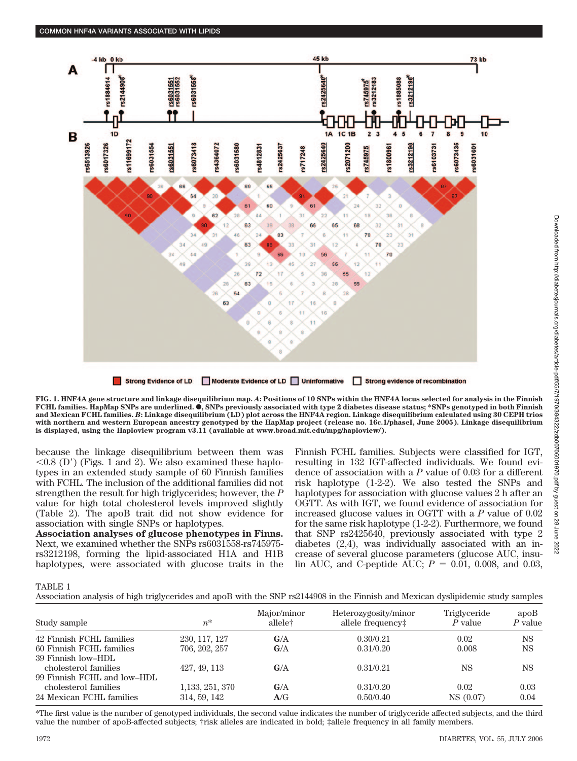



**FIG. 1. HNF4A gene structure and linkage disequilibrium map.** *A***: Positions of 10 SNPs within the HNF4A locus selected for analysis in the Finnish FCHL families. HapMap SNPs are underlined.**  $\bullet$ , SNPs previously associated with type 2 diabetes disease status; \*SNPs genotyped in both Finnish **and Mexican FCHL families.** *B***: Linkage disequilibrium (LD) plot across the HNF4A region. Linkage disequilibrium calculated using 30 CEPH trios with northern and western European ancestry genotyped by the HapMap project (release no. 16c.1/phaseI, June 2005). Linkage disequilibrium is displayed, using the Haploview program v3.11 (available at www.broad.mit.edu/mpg/haploview/).**

because the linkage disequilibrium between them was  $0.8$  (D') (Figs. 1 and 2). We also examined these haplotypes in an extended study sample of 60 Finnish families with FCHL. The inclusion of the additional families did not strengthen the result for high triglycerides; however, the *P* value for high total cholesterol levels improved slightly (Table 2). The apoB trait did not show evidence for association with single SNPs or haplotypes.

**Association analyses of glucose phenotypes in Finns.** Next, we examined whether the SNPs rs6031558-rs745975 rs3212198, forming the lipid-associated H1A and H1B haplotypes, were associated with glucose traits in the Finnish FCHL families. Subjects were classified for IGT, resulting in 132 IGT-affected individuals. We found evidence of association with a *P* value of 0.03 for a different risk haplotype (1-2-2). We also tested the SNPs and haplotypes for association with glucose values 2 h after an OGTT. As with IGT, we found evidence of association for increased glucose values in OGTT with a *P* value of 0.02 for the same risk haplotype (1-2-2). Furthermore, we found that SNP rs2425640, previously associated with type 2 diabetes (2,4), was individually associated with an increase of several glucose parameters (glucose AUC, insulin AUC, and C-peptide AUC;  $P = 0.01, 0.008,$  and 0.03,

# TABLE 1

Association analysis of high triglycerides and apoB with the SNP rs2144908 in the Finnish and Mexican dyslipidemic study samples

| Study sample                | $n^*$            | Major/minor<br>allele† | Heterozygosity/minor<br>allele frequency: | Triglyceride<br>$P$ value | apoB<br>$P$ value |
|-----------------------------|------------------|------------------------|-------------------------------------------|---------------------------|-------------------|
| 42 Finnish FCHL families    | 230, 117, 127    | G/A                    | 0.30/0.21                                 | 0.02                      | <b>NS</b>         |
| 60 Finnish FCHL families    | 706, 202, 257    | G/A                    | 0.31/0.20                                 | 0.008                     | <b>NS</b>         |
| 39 Finnish low–HDL          |                  |                        |                                           |                           |                   |
| cholesterol families        | 427, 49, 113     | G/A                    | 0.31/0.21                                 | <b>NS</b>                 | <b>NS</b>         |
| 99 Finnish FCHL and low-HDL |                  |                        |                                           |                           |                   |
| cholesterol families        | 1, 133, 251, 370 | G/A                    | 0.31/0.20                                 | 0.02                      | 0.03              |
| 24 Mexican FCHL families    | 314, 59, 142     | A/G                    | 0.50/0.40                                 | NS (0.07)                 | 0.04              |

\*The first value is the number of genotyped individuals, the second value indicates the number of triglyceride affected subjects, and the third value the number of apoB-affected subjects; †risk alleles are indicated in bold; ‡allele frequency in all family members.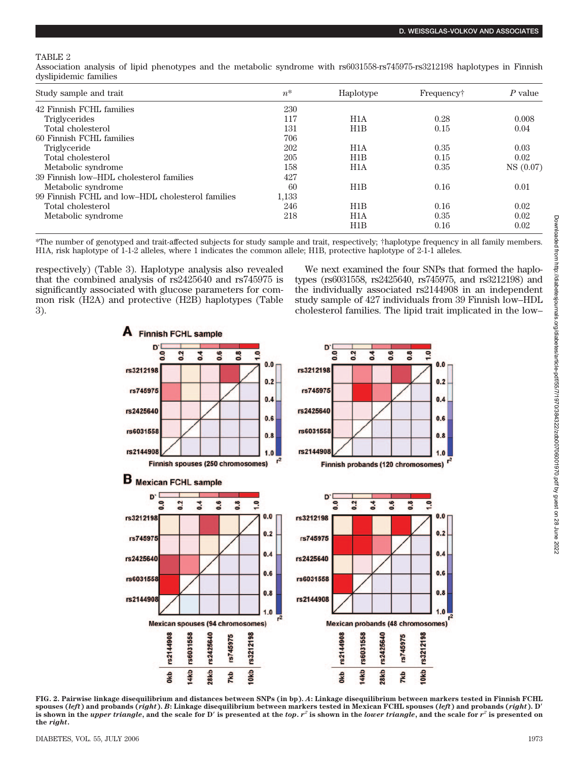## TABLE 2

Association analysis of lipid phenotypes and the metabolic syndrome with rs6031558-rs745975-rs3212198 haplotypes in Finnish dyslipidemic families

| Study sample and trait                           | $n^*$ | Haplotype        | Frequency† | $P$ value |
|--------------------------------------------------|-------|------------------|------------|-----------|
| 42 Finnish FCHL families                         | 230   |                  |            |           |
| <b>Triglycerides</b>                             | 117   | H <sub>1</sub> A | 0.28       | 0.008     |
| Total cholesterol                                | 131   | H1B              | 0.15       | 0.04      |
| 60 Finnish FCHL families                         | 706   |                  |            |           |
| Triglyceride                                     | 202   | H1A              | 0.35       | 0.03      |
| Total cholesterol                                | 205   | H1B              | 0.15       | 0.02      |
| Metabolic syndrome                               | 158   | H <sub>1</sub> A | 0.35       | NS(0.07)  |
| 39 Finnish low-HDL cholesterol families          | 427   |                  |            |           |
| Metabolic syndrome                               | 60    | H1B              | 0.16       | 0.01      |
| 99 Finnish FCHL and low-HDL cholesterol families | 1,133 |                  |            |           |
| Total cholesterol                                | 246   | H1B              | 0.16       | 0.02      |
| Metabolic syndrome                               | 218   | H <sub>1</sub> A | 0.35       | 0.02      |
|                                                  |       | H1B              | 0.16       | 0.02      |

\*The number of genotyped and trait-affected subjects for study sample and trait, respectively; †haplotype frequency in all family members. H1A, risk haplotype of 1-1-2 alleles, where 1 indicates the common allele; H1B, protective haplotype of 2-1-1 alleles.

respectively) (Table 3). Haplotype analysis also revealed that the combined analysis of rs2425640 and rs745975 is significantly associated with glucose parameters for common risk (H2A) and protective (H2B) haplotypes (Table 3).

We next examined the four SNPs that formed the haplotypes (rs6031558, rs2425640, rs745975, and rs3212198) and the individually associated rs2144908 in an independent study sample of 427 individuals from 39 Finnish low–HDL cholesterol families. The lipid trait implicated in the low–



**FIG. 2. Pairwise linkage disequilibrium and distances between SNPs (in bp).** *A***: Linkage disequilibrium between markers tested in Finnish FCHL spouses (***left***) and probands (***right***).** *B***: Linkage disequilibrium between markers tested in Mexican FCHL spouses (***left***) and probands (***right***). D** is shown in the upper triangle, and the scale for D' is presented at the top.  $r^2$  is shown in the lower triangle, and the scale for  $r^2$  is presented on **the** *right***.**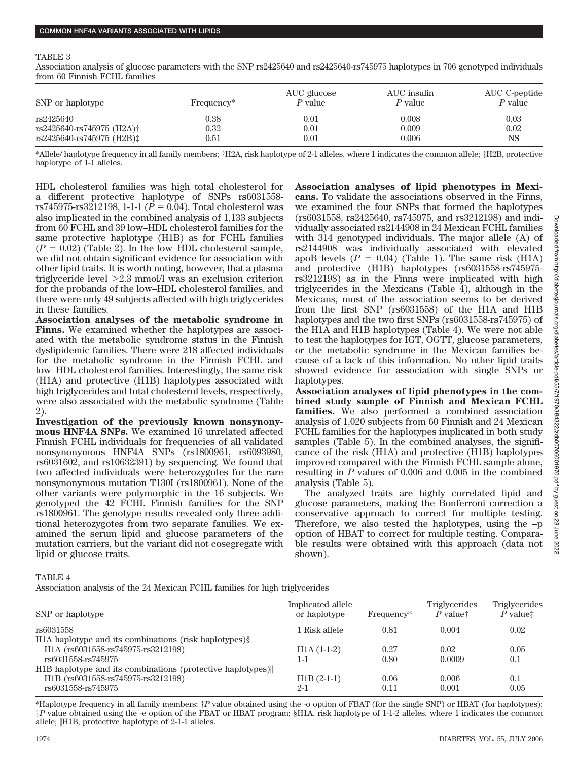#### TABLE 3

Association analysis of glucose parameters with the SNP rs2425640 and rs2425640-rs745975 haplotypes in 706 genotyped individuals from 60 Finnish FCHL families

| SNP or haplotype                    | Frequency <sup>*</sup> | AUC glucose<br>$P$ value | AUC insulin<br>P value | AUC C-peptide<br>P value |
|-------------------------------------|------------------------|--------------------------|------------------------|--------------------------|
| rs2425640                           | 0.38                   | 0.01                     | 0.008                  | 0.03                     |
| rs2425640-rs745975 (H2A)†           | $0.32\,$               | 0.01                     | 0.009                  | 0.02                     |
| rs2425640-rs745975 (H2B) $\ddagger$ | $\rm 0.51$             | 0.01                     | 0.006                  | NS                       |

\*Allele/ haplotype frequency in all family members; †H2A, risk haplotype of 2-1 alleles, where 1 indicates the common allele; ‡H2B, protective haplotype of 1-1 alleles.

HDL cholesterol families was high total cholesterol for a different protective haplotype of SNPs rs6031558 rs745975-rs3212198, 1-1-1 ( $P = 0.04$ ). Total cholesterol was also implicated in the combined analysis of 1,133 subjects from 60 FCHL and 39 low–HDL cholesterol families for the same protective haplotype (H1B) as for FCHL families  $(P = 0.02)$  (Table 2). In the low–HDL cholesterol sample, we did not obtain significant evidence for association with other lipid traits. It is worth noting, however, that a plasma triglyceride level -2.3 mmol/l was an exclusion criterion for the probands of the low–HDL cholesterol families, and there were only 49 subjects affected with high triglycerides in these families.

**Association analyses of the metabolic syndrome in Finns.** We examined whether the haplotypes are associated with the metabolic syndrome status in the Finnish dyslipidemic families. There were 218 affected individuals for the metabolic syndrome in the Finnish FCHL and low–HDL cholesterol families. Interestingly, the same risk (H1A) and protective (H1B) haplotypes associated with high triglycerides and total cholesterol levels, respectively, were also associated with the metabolic syndrome (Table 2).

**Investigation of the previously known nonsynonymous HNF4A SNPs.** We examined 16 unrelated affected Finnish FCHL individuals for frequencies of all validated nonsynonymous HNF4A SNPs (rs1800961, rs6093980, rs6031602, and rs10632391) by sequencing. We found that two affected individuals were heterozygotes for the rare nonsynonymous mutation T130I (rs1800961). None of the other variants were polymorphic in the 16 subjects. We genotyped the 42 FCHL Finnish families for the SNP rs1800961. The genotype results revealed only three additional heterozygotes from two separate families. We examined the serum lipid and glucose parameters of the mutation carriers, but the variant did not cosegregate with lipid or glucose traits.

**Association analyses of lipid phenotypes in Mexicans.** To validate the associations observed in the Finns, we examined the four SNPs that formed the haplotypes (rs6031558, rs2425640, rs745975, and rs3212198) and individually associated rs2144908 in 24 Mexican FCHL families with 314 genotyped individuals. The major allele (A) of rs2144908 was individually associated with elevated apoB levels  $(P = 0.04)$  (Table 1). The same risk (H1A) and protective (H1B) haplotypes (rs6031558-rs745975 rs3212198) as in the Finns were implicated with high triglycerides in the Mexicans (Table 4), although in the Mexicans, most of the association seems to be derived from the first SNP (rs6031558) of the H1A and H1B haplotypes and the two first SNPs (rs6031558-rs745975) of the H1A and H1B haplotypes (Table 4). We were not able to test the haplotypes for IGT, OGTT, glucose parameters, or the metabolic syndrome in the Mexican families because of a lack of this information. No other lipid traits showed evidence for association with single SNPs or haplotypes.

**Association analyses of lipid phenotypes in the combined study sample of Finnish and Mexican FCHL families.** We also performed a combined association analysis of 1,020 subjects from 60 Finnish and 24 Mexican FCHL families for the haplotypes implicated in both study samples (Table 5). In the combined analyses, the significance of the risk (H1A) and protective (H1B) haplotypes improved compared with the Finnish FCHL sample alone, resulting in *P* values of 0.006 and 0.005 in the combined analysis (Table 5).

The analyzed traits are highly correlated lipid and glucose parameters, making the Bonferroni correction a conservative approach to correct for multiple testing. Therefore, we also tested the haplotypes, using the –p option of HBAT to correct for multiple testing. Comparable results were obtained with this approach (data not shown).

TABLE 4

Association analysis of the 24 Mexican FCHL families for high triglycerides

| SNP or haplotype                                                                                                                             | Implicated allele<br>or haplotype | Frequency*   | <b>Triglycerides</b><br>$P$ value <sup><math>\dagger</math></sup> | Triglycerides<br>$P$ value $\ddagger$ |
|----------------------------------------------------------------------------------------------------------------------------------------------|-----------------------------------|--------------|-------------------------------------------------------------------|---------------------------------------|
| rs6031558                                                                                                                                    | 1 Risk allele                     | 0.81         | 0.004                                                             | 0.02                                  |
| H <sub>1</sub> A haplotype and its combinations (risk haplotypes) §<br>H <sub>1</sub> A (rs6031558-rs745975-rs3212198)<br>rs6031558-rs745975 | $H1A(1-1-2)$<br>$1 - 1$           | 0.27<br>0.80 | 0.02<br>0.0009                                                    | 0.05<br>0.1                           |
| H <sub>1</sub> B haplotype and its combinations (protective haplotypes)<br>H1B (rs6031558-rs745975-rs3212198)<br>rs6031558-rs745975          | $H1B(2-1-1)$<br>$2-1$             | 0.06<br>0.11 | 0.006<br>0.001                                                    | 0.1<br>0.05                           |

\*Haplotype frequency in all family members; †*P* value obtained using the -o option of FBAT (for the single SNP) or HBAT (for haplotypes); ‡*P* value obtained using the -e option of the FBAT or HBAT program; §H1A, risk haplotype of 1-1-2 alleles, where 1 indicates the common allele;  $\parallel$ H1B, protective haplotype of 2-1-1 alleles.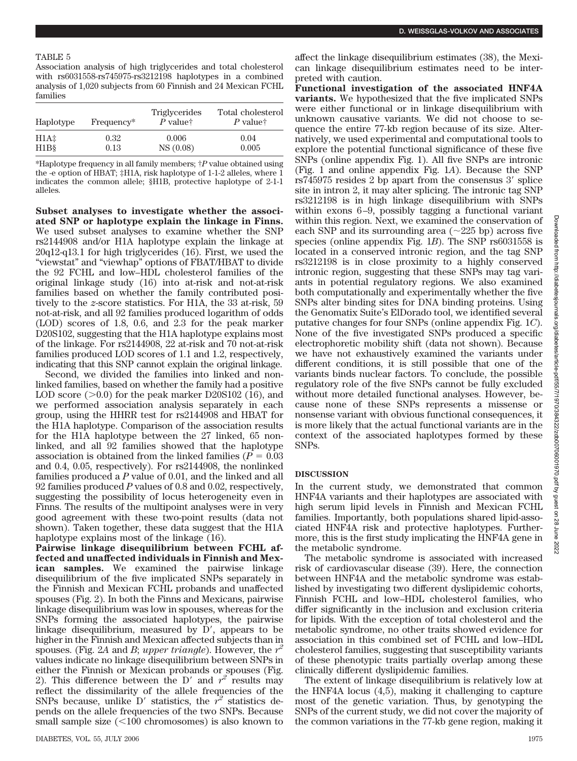#### TABLE 5

Association analysis of high triglycerides and total cholesterol with rs6031558-rs745975-rs3212198 haplotypes in a combined analysis of 1,020 subjects from 60 Finnish and 24 Mexican FCHL families

| Haplotype                     | Frequency* | <b>Triglycerides</b><br>$P$ value <sup><math>\dagger</math></sup> | Total cholesterol<br>$P$ value <sup><math>\dagger</math></sup> |
|-------------------------------|------------|-------------------------------------------------------------------|----------------------------------------------------------------|
| H1A <sup>±</sup>              | 0.32       | 0.006                                                             | 0.04                                                           |
| H <sub>1</sub> B <sub>§</sub> | 0.13       | NS(0.08)                                                          | 0.005                                                          |

\*Haplotype frequency in all family members; †*P* value obtained using the -e option of HBAT; ‡H1A, risk haplotype of 1-1-2 alleles, where 1 indicates the common allele; §H1B, protective haplotype of 2-1-1 alleles.

**Subset analyses to investigate whether the associated SNP or haplotype explain the linkage in Finns.** We used subset analyses to examine whether the SNP rs2144908 and/or H1A haplotype explain the linkage at 20q12-q13.1 for high triglycerides (16). First, we used the "viewstat" and "viewhap" options of FBAT/HBAT to divide the 92 FCHL and low–HDL cholesterol families of the original linkage study (16) into at-risk and not-at-risk families based on whether the family contributed positively to the *z*-score statistics. For H1A, the 33 at-risk, 59 not-at-risk, and all 92 families produced logarithm of odds (LOD) scores of 1.8, 0.6, and 2.3 for the peak marker D20S102, suggesting that the H1A haplotype explains most of the linkage. For rs2144908, 22 at-risk and 70 not-at-risk families produced LOD scores of 1.1 and 1.2, respectively, indicating that this SNP cannot explain the original linkage.

Second, we divided the families into linked and nonlinked families, based on whether the family had a positive LOD score  $(>0.0)$  for the peak marker D20S102 (16), and we performed association analysis separately in each group, using the HHRR test for rs2144908 and HBAT for the H1A haplotype. Comparison of the association results for the H1A haplotype between the 27 linked, 65 nonlinked, and all 92 families showed that the haplotype association is obtained from the linked families ( $P = 0.03$ ) and 0.4, 0.05, respectively). For rs2144908, the nonlinked families produced a *P* value of 0.01, and the linked and all 92 families produced *P* values of 0.8 and 0.02, respectively, suggesting the possibility of locus heterogeneity even in Finns. The results of the multipoint analyses were in very good agreement with these two-point results (data not shown). Taken together, these data suggest that the H1A haplotype explains most of the linkage (16).

**Pairwise linkage disequilibrium between FCHL affected and unaffected individuals in Finnish and Mexican samples.** We examined the pairwise linkage disequilibrium of the five implicated SNPs separately in the Finnish and Mexican FCHL probands and unaffected spouses (Fig. 2). In both the Finns and Mexicans, pairwise linkage disequilibrium was low in spouses, whereas for the SNPs forming the associated haplotypes, the pairwise linkage disequilibrium, measured by  $D'$ , appears to be higher in the Finnish and Mexican affected subjects than in spouses. (Fig. 2A and *B*; *upper triangle*). However, the  $r^2$ values indicate no linkage disequilibrium between SNPs in either the Finnish or Mexican probands or spouses (Fig. 2). This difference between the D' and  $r^2$  results may reflect the dissimilarity of the allele frequencies of the SNPs because, unlike  $D'$  statistics, the  $r^z$  statistics depends on the allele frequencies of the two SNPs. Because small sample size  $(<100$  chromosomes) is also known to

affect the linkage disequilibrium estimates (38), the Mexican linkage disequilibrium estimates need to be interpreted with caution.

**Functional investigation of the associated HNF4A variants.** We hypothesized that the five implicated SNPs were either functional or in linkage disequilibrium with unknown causative variants. We did not choose to sequence the entire 77-kb region because of its size. Alternatively, we used experimental and computational tools to explore the potential functional significance of these five SNPs (online appendix Fig. 1). All five SNPs are intronic (Fig. 1 and online appendix Fig. 1*A*). Because the SNP  $rs745975$  resides 2 bp apart from the consensus 3' splice site in intron 2, it may alter splicing. The intronic tag SNP rs3212198 is in high linkage disequilibrium with SNPs within exons 6–9, possibly tagging a functional variant within this region. Next, we examined the conservation of each SNP and its surrounding area  $(\sim 225$  bp) across five species (online appendix Fig. 1*B*). The SNP rs6031558 is located in a conserved intronic region, and the tag SNP rs3212198 is in close proximity to a highly conserved intronic region, suggesting that these SNPs may tag variants in potential regulatory regions. We also examined both computationally and experimentally whether the five SNPs alter binding sites for DNA binding proteins. Using the Genomatix Suite's ElDorado tool, we identified several putative changes for four SNPs (online appendix Fig. 1*C*). None of the five investigated SNPs produced a specific electrophoretic mobility shift (data not shown). Because we have not exhaustively examined the variants under different conditions, it is still possible that one of the variants binds nuclear factors. To conclude, the possible regulatory role of the five SNPs cannot be fully excluded without more detailed functional analyses. However, because none of these SNPs represents a missense or nonsense variant with obvious functional consequences, it is more likely that the actual functional variants are in the context of the associated haplotypes formed by these SNPs.

#### **DISCUSSION**

In the current study, we demonstrated that common HNF4A variants and their haplotypes are associated with high serum lipid levels in Finnish and Mexican FCHL families. Importantly, both populations shared lipid-associated HNF4A risk and protective haplotypes. Furthermore, this is the first study implicating the HNF4A gene in the metabolic syndrome.

The metabolic syndrome is associated with increased risk of cardiovascular disease (39). Here, the connection between HNF4A and the metabolic syndrome was established by investigating two different dyslipidemic cohorts, Finnish FCHL and low–HDL cholesterol families, who differ significantly in the inclusion and exclusion criteria for lipids. With the exception of total cholesterol and the metabolic syndrome, no other traits showed evidence for association in this combined set of FCHL and low–HDL cholesterol families, suggesting that susceptibility variants of these phenotypic traits partially overlap among these clinically different dyslipidemic families.

The extent of linkage disequilibrium is relatively low at the HNF4A locus (4,5), making it challenging to capture most of the genetic variation. Thus, by genotyping the SNPs of the current study, we did not cover the majority of the common variations in the 77-kb gene region, making it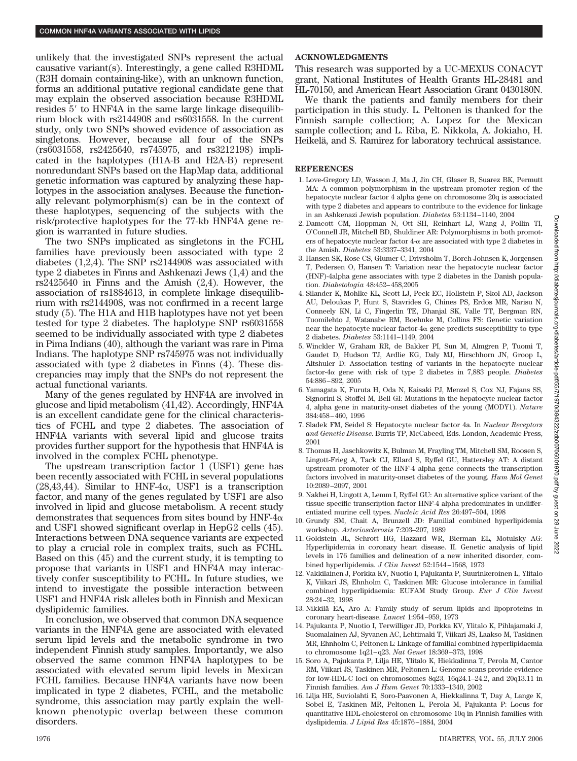unlikely that the investigated SNPs represent the actual causative variant(s). Interestingly, a gene called R3HDML (R3H domain containing-like), with an unknown function, forms an additional putative regional candidate gene that may explain the observed association because R3HDML resides 5' to HNF4A in the same large linkage disequilibrium block with rs2144908 and rs6031558. In the current study, only two SNPs showed evidence of association as singletons. However, because all four of the SNPs (rs6031558, rs2425640, rs745975, and rs3212198) implicated in the haplotypes (H1A-B and H2A-B) represent nonredundant SNPs based on the HapMap data, additional genetic information was captured by analyzing these haplotypes in the association analyses. Because the functionally relevant polymorphism(s) can be in the context of these haplotypes, sequencing of the subjects with the risk/protective haplotypes for the 77-kb HNF4A gene region is warranted in future studies.

The two SNPs implicated as singletons in the FCHL families have previously been associated with type 2 diabetes (1,2,4). The SNP rs2144908 was associated with type 2 diabetes in Finns and Ashkenazi Jews (1,4) and the rs2425640 in Finns and the Amish (2,4). However, the association of rs1884613, in complete linkage disequilibrium with rs2144908, was not confirmed in a recent large study (5). The H1A and H1B haplotypes have not yet been tested for type 2 diabetes. The haplotype SNP rs6031558 seemed to be individually associated with type 2 diabetes in Pima Indians (40), although the variant was rare in Pima Indians. The haplotype SNP rs745975 was not individually associated with type 2 diabetes in Finns (4). These discrepancies may imply that the SNPs do not represent the actual functional variants.

Many of the genes regulated by HNF4A are involved in glucose and lipid metabolism (41,42). Accordingly, HNF4A is an excellent candidate gene for the clinical characteristics of FCHL and type 2 diabetes. The association of HNF4A variants with several lipid and glucose traits provides further support for the hypothesis that HNF4A is involved in the complex FCHL phenotype.

The upstream transcription factor 1 (USF1) gene has been recently associated with FCHL in several populations (28,43,44). Similar to HNF-4 $\alpha$ , USF1 is a transcription factor, and many of the genes regulated by USF1 are also involved in lipid and glucose metabolism. A recent study demonstrates that sequences from sites bound by  $HNF-4\alpha$ and USF1 showed significant overlap in HepG2 cells (45). Interactions between DNA sequence variants are expected to play a crucial role in complex traits, such as FCHL. Based on this (45) and the current study, it is tempting to propose that variants in USF1 and HNF4A may interactively confer susceptibility to FCHL. In future studies, we intend to investigate the possible interaction between USF1 and HNF4A risk alleles both in Finnish and Mexican dyslipidemic families.

In conclusion, we observed that common DNA sequence variants in the HNF4A gene are associated with elevated serum lipid levels and the metabolic syndrome in two independent Finnish study samples. Importantly, we also observed the same common HNF4A haplotypes to be associated with elevated serum lipid levels in Mexican FCHL families. Because HNF4A variants have now been implicated in type 2 diabetes, FCHL, and the metabolic syndrome, this association may partly explain the wellknown phenotypic overlap between these common disorders.

# **ACKNOWLEDGMENTS**

This research was supported by a UC-MEXUS CONACYT grant, National Institutes of Health Grants HL-28481 and HL-70150, and American Heart Association Grant 0430180N.

We thank the patients and family members for their participation in this study. L. Peltonen is thanked for the Finnish sample collection; A. Lopez for the Mexican sample collection; and L. Riba, E. Nikkola, A. Jokiaho, H. Heikelä, and S. Ramirez for laboratory technical assistance.

#### **REFERENCES**

- 1. Love-Gregory LD, Wasson J, Ma J, Jin CH, Glaser B, Suarez BK, Permutt MA: A common polymorphism in the upstream promoter region of the hepatocyte nuclear factor 4 alpha gene on chromosome 20q is associated with type 2 diabetes and appears to contribute to the evidence for linkage in an Ashkenazi Jewish population. *Diabetes* 53:1134 –1140, 2004
- 2. Damcott CM, Hoppman N, Ott SH, Reinhart LJ, Wang J, Pollin TI, O'Connell JR, Mitchell BD, Shuldiner AR: Polymorphisms in both promoters of hepatocyte nuclear factor  $4-\alpha$  are associated with type 2 diabetes in the Amish. *Diabetes* 53:3337–3341, 2004
- 3. Hansen SK, Rose CS, Glumer C, Drivsholm T, Borch-Johnsen K, Jorgensen T, Pedersen O, Hansen T: Variation near the hepatocyte nuclear factor (HNF)-4alpha gene associates with type 2 diabetes in the Danish population. *Diabetologia* 48:452– 458,2005
- 4. Silander K, Mohlke KL, Scott LJ, Peck EC, Hollstein P, Skol AD, Jackson AU, Deloukas P, Hunt S, Stavrides G, Chines PS, Erdos MR, Narisu N, Conneely KN, Li C, Fingerlin TE, Dhanjal SK, Valle TT, Bergman RN, Tuomilehto J, Watanabe RM, Boehnke M, Collins FS: Genetic variation near the hepatocyte nuclear factor- $4\alpha$  gene predicts susceptibility to type 2 diabetes. *Diabetes* 53:1141–1149, 2004
- 5. Winckler W, Graham RR, de Bakker PI, Sun M, Almgren P, Tuomi T, Gaudet D, Hudson TJ, Ardlie KG, Daly MJ, Hirschhorn JN, Groop L, Altshuler D: Association testing of variants in the hepatocyte nuclear factor- $4\alpha$  gene with risk of type 2 diabetes in 7,883 people. *Diabetes* 54:886 – 892, 2005
- 6. Yamagata K, Furuta H, Oda N, Kaisaki PJ, Menzel S, Cox NJ, Fajans SS, Signorini S, Stoffel M, Bell GI: Mutations in the hepatocyte nuclear factor 4, alpha gene in maturity-onset diabetes of the young (MODY1). *Nature* 384:458 – 460, 1996
- 7. Sladek FM, Seidel S: Hepatocyte nuclear factor 4a. In *Nuclear Receptors and Genetic Disease*. Burris TP, McCabeed, Eds. London, Academic Press, 2001
- 8. Thomas H, Jaschkowitz K, Bulman M, Frayling TM, Mitchell SM, Roosen S, Lingott-Frieg A, Tack CJ, Ellard S, Ryffel GU, Hattersley AT: A distant upstream promoter of the HNF-4 alpha gene connects the transcription factors involved in maturity-onset diabetes of the young. *Hum Mol Genet* 10:2089 –2097, 2001
- 9. Nakhei H, Lingott A, Lemm I, Ryffel GU: An alternative splice variant of the tissue specific transcription factor HNF-4 alpha predominates in undifferentiated murine cell types. *Nucleic Acid Res* 26:497–504, 1998
- 10. Grundy SM, Chait A, Brunzell JD: Familial combined hyperlipidemia workshop. *Arteriosclerosis* 7:203–207, 1989
- 11. Goldstein JL, Schrott HG, Hazzard WR, Bierman EL, Motulsky AG: Hyperlipidemia in coronary heart disease. II. Genetic analysis of lipid levels in 176 families and delineation of a new inherited disorder, combined hyperlipidemia. *J Clin Invest* 52:1544 –1568, 1973
- 12. Vakkilainen J, Porkka KV, Nuotio I, Pajukanta P, Suurinkeroinen L, Ylitalo K, Viikari JS, Ehnholm C, Taskinen MR: Glucose intolerance in familial combined hyperlipidaemia: EUFAM Study Group. *Eur J Clin Invest* 28:24 –32, 1998
- 13. Nikkila¨ EA, Aro A: Family study of serum lipids and lipoproteins in coronary heart-disease. *Lancet* 1:954 –959, 1973
- 14. Pajukanta P, Nuotio I, Terwilliger JD, Porkka KV, Ylitalo K, Pihlajamaki J, Suomalainen AJ, Syvanen AC, Lehtimaki T, Viikari JS, Laakso M, Taskinen MR, Ehnholm C, Peltonen L: Linkage of familial combined hyperlipidaemia to chromosome 1q21– q23. *Nat Genet* 18:369 –373, 1998
- 15. Soro A, Pajukanta P, Lilja HE, Ylitalo K, Hiekkalinna T, Perola M, Cantor RM, Viikari JS, Taskinen MR, Peltonen L: Genome scans provide evidence for low-HDL-C loci on chromosomes 8q23, 16q24.1–24.2, and 20q13.11 in Finnish families. *Am J Hum Genet* 70:1333–1340, 2002
- 16. Lilja HE, Suviolahti E, Soro-Paavonen A, Hiekkalinna T, Day A, Lange K, Sobel E, Taskinen MR, Peltonen L, Perola M, Pajukanta P: Locus for quantitative HDL-cholesterol on chromosome 10q in Finnish families with dyslipidemia. *J Lipid Res* 45:1876 –1884, 2004